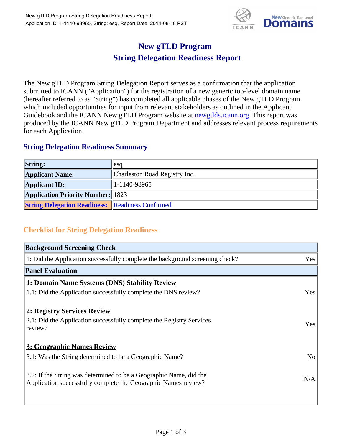

## **New gTLD Program String Delegation Readiness Report**

The New gTLD Program String Delegation Report serves as a confirmation that the application submitted to ICANN ("Application") for the registration of a new generic top-level domain name (hereafter referred to as "String") has completed all applicable phases of the New gTLD Program which included opportunities for input from relevant stakeholders as outlined in the Applicant Guidebook and the ICANN New gTLD Program website at newgtlds.icann.org. This report was produced by the ICANN New gTLD Program Department and addresses relevant process requirements for each Application.

## **String Delegation Readiness Summary**

| <b>String:</b>                                          | lesa                          |
|---------------------------------------------------------|-------------------------------|
| <b>Applicant Name:</b>                                  | Charleston Road Registry Inc. |
| <b>Applicant ID:</b>                                    | $ 1-1140-98965 $              |
| <b>Application Priority Number:</b> 1823                |                               |
| <b>String Delegation Readiness:</b> Readiness Confirmed |                               |

## **Checklist for String Delegation Readiness**

| <b>Background Screening Check</b>                                               |                |
|---------------------------------------------------------------------------------|----------------|
| 1: Did the Application successfully complete the background screening check?    | Yes            |
| <b>Panel Evaluation</b>                                                         |                |
| 1: Domain Name Systems (DNS) Stability Review                                   |                |
| 1.1: Did the Application successfully complete the DNS review?                  | Yes            |
| 2: Registry Services Review                                                     |                |
|                                                                                 |                |
| 2.1: Did the Application successfully complete the Registry Services<br>review? | <b>Yes</b>     |
|                                                                                 |                |
| 3: Geographic Names Review                                                      |                |
| 3.1: Was the String determined to be a Geographic Name?                         | N <sub>0</sub> |
| 3.2: If the String was determined to be a Geographic Name, did the              |                |
| Application successfully complete the Geographic Names review?                  | N/A            |
|                                                                                 |                |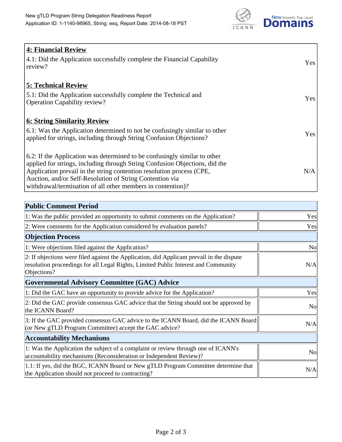

| <b>4: Financial Review</b><br>4.1: Did the Application successfully complete the Financial Capability<br>review?                                                                                                                                                                                                                                             | <b>Yes</b> |
|--------------------------------------------------------------------------------------------------------------------------------------------------------------------------------------------------------------------------------------------------------------------------------------------------------------------------------------------------------------|------------|
| <b>5: Technical Review</b><br>5.1: Did the Application successfully complete the Technical and<br><b>Operation Capability review?</b>                                                                                                                                                                                                                        | <b>Yes</b> |
| <b>6: String Similarity Review</b><br>$\vert$ 6.1: Was the Application determined to not be confusingly similar to other<br>applied for strings, including through String Confusion Objections?                                                                                                                                                              | Yes        |
| 6.2: If the Application was determined to be confusingly similar to other<br>applied for strings, including through String Confusion Objections, did the<br>Application prevail in the string contention resolution process (CPE,<br>Auction, and/or Self-Resolution of String Contention via<br>withdrawal/termination of all other members in contention)? | N/A        |

| <b>Public Comment Period</b>                                                                                                                                                                   |           |
|------------------------------------------------------------------------------------------------------------------------------------------------------------------------------------------------|-----------|
| 1: Was the public provided an opportunity to submit comments on the Application?                                                                                                               | Yes       |
| 2: Were comments for the Application considered by evaluation panels?                                                                                                                          | Yes       |
| <b>Objection Process</b>                                                                                                                                                                       |           |
| 1: Were objections filed against the Application?                                                                                                                                              | <b>No</b> |
| 2: If objections were filed against the Application, did Applicant prevail in the dispute<br>resolution proceedings for all Legal Rights, Limited Public Interest and Community<br>Objections? | N/A       |
| Governmental Advisory Committee (GAC) Advice                                                                                                                                                   |           |
| 1: Did the GAC have an opportunity to provide advice for the Application?                                                                                                                      | Yes       |
| 2: Did the GAC provide consensus GAC advice that the String should not be approved by<br>the ICANN Board?                                                                                      | <b>No</b> |
| 3: If the GAC provided consensus GAC advice to the ICANN Board, did the ICANN Board<br>(or New gTLD Program Committee) accept the GAC advice?                                                  | N/A       |
| <b>Accountability Mechanisms</b>                                                                                                                                                               |           |
| 1: Was the Application the subject of a complaint or review through one of ICANN's<br>accountability mechanisms (Reconsideration or Independent Review)?                                       | <b>No</b> |
| 1.1: If yes, did the BGC, ICANN Board or New gTLD Program Committee determine that<br>the Application should not proceed to contracting?                                                       | N/A       |